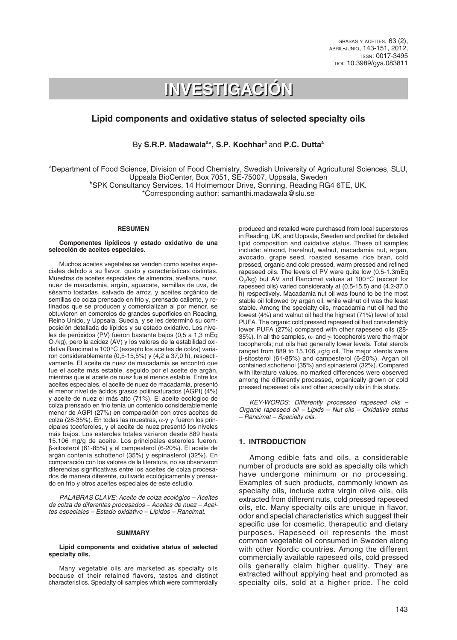grasas <sup>y</sup> aceites, 63 (2), abril-junio, 143-151, 2012, issn: 0017-3495 doi: 10.3989/gya.083811

# **INVESTIGACIÓN INVESTIGACIÓN**

# **Lipid components and oxidative status of selected specialty oils**

By S.R.P. Madawala<sup>a\*</sup>, S.P. Kochhar<sup>b</sup> and P.C. Dutta<sup>a</sup>

<sup>a</sup>Department of Food Science, Division of Food Chemistry, Swedish University of Agricultural Sciences, SLU, Uppsala BioCenter, Box 7051, SE-75007, Uppsala, Sweden<br>SPK Consultancy Services, 14 Holmemoor Drive, Sonning, Reading RG4 6TE, UK. \*Corresponding author: samanthi.madawala@slu.se

#### **RESUMEN**

#### **Componentes lipídicos y estado oxidativo de una selección de aceites especiales.**

Muchos aceites vegetales se venden como aceites especiales debido a su flavor, gusto y características distintas. Muestras de aceites especiales de almendra, avellana, nuez, nuez de macadamia, argán, aguacate, semillas de uva, de sésamo tostadas, salvado de arroz, y aceites orgánico de semillas de colza prensado en frío y, prensado caliente, y refinados que se producen y comercializan al por menor, se obtuvieron en comercios de grandes superficies en Reading, Reino Unido, y Uppsala, Suecia, y se les determinó su composición detallada de lípidos y su estado oxidativo. Los niveles de peróxidos (PV) fueron bastante bajos (0,5 a 1,3 mEq O2/kg), pero la acidez (AV) y los valores de la estabilidad oxidativa Rancimat a 100°C (excepto los aceites de colza) variaron considerablemente (0,5-15,5%) y (4,2 a 37,0 h), respectivamente. El aceite de nuez de macadamia se encontró que fue el aceite más estable, seguido por el aceite de argán, mientras que el aceite de nuez fue el menos estable. Entre los aceites especiales, el aceite de nuez de macadamia, presentó el menor nivel de ácidos grasos poliinsaturados (AGPI) (4%) y aceite de nuez el más alto (71%). El aceite ecológico de colza prensado en frío tenía un contenido considerablemente menor de AGPI (27%) en comparación con otros aceites de colza (28-35%). En todas las muestras, α-y γ- fueron los principales tocoferoles, y el aceite de nuez presentó los niveles más bajos. Los esteroles totales variaron desde 889 hasta 15.106 mg/g de aceite. Los principales esteroles fueron: β-sitosterol (61-85%) y el campesterol (6-20%). El aceite de argán contenía schottenol (35%) y espinasterol (32%). En comparación con los valores de la literatura, no se observaron diferencias significativas entre los aceites de colza procesados de manera diferente, cultivado ecológicamente y prensado en frío y otros aceites especiales de este estudio.

*PALABRAS CLAVE: Aceite de colza ecológico – Aceites de colza de diferentes procesados – Aceites de nuez – Aceites especiales – Estado oxidativo – Lípidos – Rancimat.*

#### **SUMMARY**

#### **Lipid components and oxidative status of selected specialty oils.**

Many vegetable oils are marketed as specialty oils because of their retained flavors, tastes and distinct characteristics. Specialty oil samples which were commercially produced and retailed were purchased from local superstores in Reading, UK, and Uppsala, Sweden and profiled for detailed lipid composition and oxidative status. These oil samples include: almond, hazelnut, walnut, macadamia nut, argan, avocado, grape seed, roasted sesame, rice bran, cold pressed, organic and cold pressed, warm pressed and refined rapeseed oils. The levels of PV were quite low (0.5-1.3mEq  $O_2$ /kg) but AV and Rancimat values at 100 °C (except for rapeseed oils) varied considerably at (0.5-15.5) and (4.2-37.0 h) respectively. Macadamia nut oil was found to be the most stable oil followed by argan oil, while walnut oil was the least stable. Among the specialty oils, macadamia nut oil had the lowest (4%) and walnut oil had the highest (71%) level of total PUFA. The organic cold pressed rapeseed oil had considerably lower PUFA (27%) compared with other rapeseed oils (28- 35%). In all the samples,  $\alpha$ - and  $\gamma$ - tocopherols were the major tocopherols; nut oils had generally lower levels. Total sterols ranged from 889 to 15,106 µg/g oil. The major sterols were β-sitosterol (61-85%) and campesterol (6-20%). Argan oil contained schottenol (35%) and spinasterol (32%). Compared with literature values, no marked differences were observed among the differently processed, organically grown or cold pressed rapeseed oils and other specialty oils in this study.

*KEY-WORDS: Differently processed rapeseed oils – Organic rapeseed oil – Lipids – Nut oils – Oxidative status – Rancimat – Specialty oils.*

#### **1. INTRODUCTION**

Among edible fats and oils, a considerable number of products are sold as specialty oils which have undergone minimum or no processing. Examples of such products, commonly known as specialty oils, include extra virgin olive oils, oils extracted from different nuts, cold pressed rapeseed oils, etc. Many specialty oils are unique in flavor, odor and special characteristics which suggest their specific use for cosmetic, therapeutic and dietary purposes. Rapeseed oil represents the most common vegetable oil consumed in Sweden along with other Nordic countries. Among the different commercially available rapeseed oils, cold pressed oils generally claim higher quality. They are extracted without applying heat and promoted as specialty oils, sold at a higher price. The cold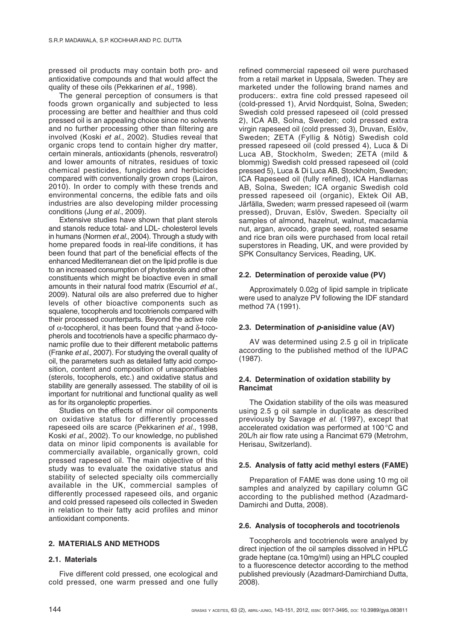pressed oil products may contain both pro- and antioxidative compounds and that would affect the quality of these oils (Pekkarinen *et al.*, 1998).

The general perception of consumers is that foods grown organically and subjected to less processing are better and healthier and thus cold pressed oil is an appealing choice since no solvents and no further processing other than filtering are involved (Koski *et al*., 2002). Studies reveal that organic crops tend to contain higher dry matter, certain minerals, antioxidants (phenols, resveratrol) and lower amounts of nitrates, residues of toxic chemical pesticides, fungicides and herbicides compared with conventionally grown crops (Lairon, 2010). In order to comply with these trends and environmental concerns, the edible fats and oils industries are also developing milder processing conditions (Jung *et al.*, 2009).

Extensive studies have shown that plant sterols and stanols reduce total- and LDL- cholesterol levels in humans (Normen *et al.*, 2004). Through a study with home prepared foods in real-life conditions, it has been found that part of the beneficial effects of the enhanced Mediterranean diet on the lipid profile is due to an increased consumption of phytosterols and other constituents which might be bioactive even in small amounts in their natural food matrix (Escurriol *et al.*, 2009). Natural oils are also preferred due to higher levels of other bioactive components such as squalene, tocopherols and tocotrienols compared with their processed counterparts. Beyond the active role of  $\alpha$ -tocopherol, it has been found that  $\gamma$ -and  $\delta$ -tocopherols and tocotrienols have a specific pharmaco dynamic profile due to their different metabolic patterns (Franke *et al.*, 2007). For studying the overall quality of oil, the parameters such as detailed fatty acid composition, content and composition of unsaponifiables (sterols, tocopherols, etc.) and oxidative status and stability are generally assessed. The stability of oil is important for nutritional and functional quality as well as for its organoleptic properties.

Studies on the effects of minor oil components on oxidative status for differently processed rapeseed oils are scarce (Pekkarinen *et al.*, 1998, Koski *et al.*, 2002). To our knowledge, no published data on minor lipid components is available for commercially available, organically grown, cold pressed rapeseed oil. The main objective of this study was to evaluate the oxidative status and stability of selected specialty oils commercially available in the UK, commercial samples of differently processed rapeseed oils, and organic and cold pressed rapeseed oils collected in Sweden in relation to their fatty acid profiles and minor antioxidant components.

#### **2. MATERIALS AND METHODS**

#### **2.1. Materials**

Five different cold pressed, one ecological and cold pressed, one warm pressed and one fully refined commercial rapeseed oil were purchased from a retail market in Uppsala, Sweden. They are marketed under the following brand names and producers:. extra fine cold pressed rapeseed oil (cold-pressed 1), Arvid Nordquist, Solna, Sweden; Swedish cold pressed rapeseed oil (cold pressed 2), ICA AB, Solna, Sweden; cold pressed extra virgin rapeseed oil (cold pressed 3), Druvan, Eslöv, Sweden; ZETA (Fyllig & Nötig) Swedish cold pressed rapeseed oil (cold pressed 4), Luca & Di Luca AB, Stockholm, Sweden; ZETA (mild & blommig) Swedish cold pressed rapeseed oil (cold pressed 5), Luca & Di Luca AB, Stockholm, Sweden; ICA Rapeseed oil (fully refined), ICA Handlarnas AB, Solna, Sweden; ICA organic Swedish cold pressed rapeseed oil (organic), Ektek Oil AB, Järfälla, Sweden; warm pressed rapeseed oil (warm pressed), Druvan, Eslöv, Sweden. Specialty oil samples of almond, hazelnut, walnut, macadamia nut, argan, avocado, grape seed, roasted sesame and rice bran oils were purchased from local retail superstores in Reading, UK, and were provided by SPK Consultancy Services, Reading, UK.

## **2.2. Determination of peroxide value (PV)**

Approximately 0.02g of lipid sample in triplicate were used to analyze PV following the IDF standard method 7A (1991).

#### **2.3. Determination of** *p***-anisidine value (AV)**

AV was determined using 2.5 g oil in triplicate according to the published method of the IUPAC (1987).

## **2.4. Determination of oxidation stability by Rancimat**

The Oxidation stability of the oils was measured using 2.5 g oil sample in duplicate as described previously by Savage *et al.* (1997), except that accelerated oxidation was performed at 100°C and 20L/h air flow rate using a Rancimat 679 (Metrohm, Herisau, Switzerland).

#### **2.5. Analysis of fatty acid methyl esters (FAME)**

Preparation of FAME was done using 10 mg oil samples and analyzed by capillary column GC according to the published method (Azadmard-Damirchi and Dutta, 2008).

#### **2.6. Analysis of tocopherols and tocotrienols**

Tocopherols and tocotrienols were analyed by direct injection of the oil samples dissolved in HPLC grade heptane (ca.10mg/ml) using an HPLC coupled to a fluorescence detector according to the method published previously (Azadmard-Damirchiand Dutta, 2008).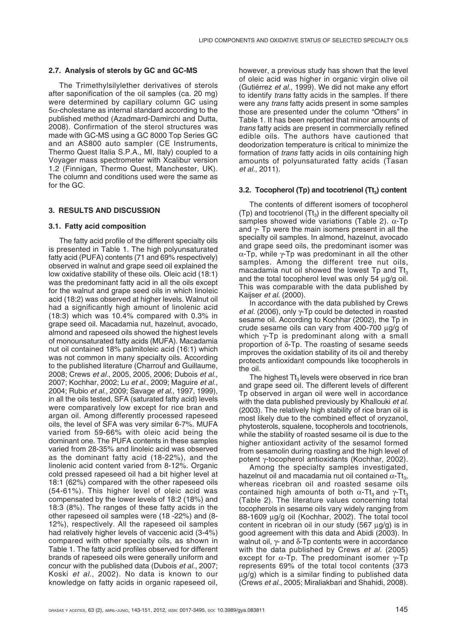## **2.7. Analysis of sterols by GC and GC-MS**

The Trimethylsilylether derivatives of sterols after saponification of the oil samples (ca. 20 mg) were determined by capillary column GC using  $5\alpha$ -cholestane as internal standard according to the published method (Azadmard-Damirchi and Dutta, 2008). Confirmation of the sterol structures was made with GC-MS using a GC 8000 Top Series GC and an AS800 auto sampler (CE Instruments, Thermo Quest Italia S.P.A., MI, Italy) coupled to a Voyager mass spectrometer with Xcalibur version 1.2 (Finnigan, Thermo Quest, Manchester, UK). The column and conditions used were the same as for the GC.

## **3. RESULTS AND DISCUSSION**

## **3.1. Fatty acid composition**

The fatty acid profile of the different specialty oils is presented in Table 1. The high polyunsaturated fatty acid (PUFA) contents (71 and 69% respectively) observed in walnut and grape seed oil explained the low oxidative stability of these oils. Oleic acid (18:1) was the predominant fatty acid in all the oils except for the walnut and grape seed oils in which linoleic acid (18:2) was observed at higher levels. Walnut oil had a significantly high amount of linolenic acid (18:3) which was 10.4% compared with 0.3% in grape seed oil. Macadamia nut, hazelnut, avocado, almond and rapeseed oils showed the highest levels of monounsaturated fatty acids (MUFA). Macadamia nut oil contained 18% palmitoleic acid (16:1) which was not common in many specialty oils. According to the published literature (Charrouf and Guillaume, 2008; Crews *et al.*, 2005, 2005, 2006; Dubois *et al.*, 2007; Kochhar, 2002; Lu *et al.*, 2009; Maguire *et al.*, 2004; Rubio *et al.*, 2009; Savage *et al.*, 1997, 1999), in all the oils tested, SFA (saturated fatty acid) levels were comparatively low except for rice bran and argan oil. Among differently processed rapeseed oils, the level of SFA was very similar 6-7%. MUFA varied from 59-66% with oleic acid being the dominant one. The PUFA contents in these samples varied from 28-35% and linoleic acid was observed as the dominant fatty acid (18-22%), and the linolenic acid content varied from 8-12%. Organic cold pressed rapeseed oil had a bit higher level at 18:1 (62%) compared with the other rapeseed oils (54-61%). This higher level of oleic acid was compensated by the lower levels of 18:2 (18%) and 18:3 (8%). The ranges of these fatty acids in the other rapeseed oil samples were (18 -22%) and (8- 12%), respectively. All the rapeseed oil samples had relatively higher levels of vaccenic acid (3-4%) compared with other specialty oils, as shown in Table 1. The fatty acid profiles observed for different brands of rapeseed oils were generally uniform and concur with the published data (Dubois *et al.*, 2007; Koski *et al.*, 2002). No data is known to our knowledge on fatty acids in organic rapeseed oil, however, a previous study has shown that the level of oleic acid was higher in organic virgin olive oil (Gutiérrez *et al.*, 1999). We did not make any effort to identify *trans* fatty acids in the samples. If there were any *trans* fatty acids present in some samples those are presented under the column "Others" in Table 1. It has been reported that minor amounts of *trans* fatty acids are present in commercially refined edible oils. The authors have cautioned that deodorization temperature is critical to minimize the formation of *trans* fatty acids in oils containing high amounts of polyunsaturated fatty acids (Tasan *et al.*, 2011).

## **3.2. Tocopherol (Tp) and tocotrienol (Tt<sub>3</sub>) content**

The contents of different isomers of tocopherol (Tp) and tocotrienol (Tt<sub>3</sub>) in the different specialty oil samples showed wide variations (Table 2).  $\alpha$ -Tp and  $\gamma$ - Tp were the main isomers present in all the specialty oil samples. In almond, hazelnut, avocado and grape seed oils, the predominant isomer was  $\alpha$ -Tp, while  $\gamma$ -Tp was predominant in all the other samples. Among the different tree nut oils, macadamia nut oil showed the lowest  $T_p$  and  $T_{t_3}$ and the total tocopherol level was only 54  $\mu$ g/g oil. This was comparable with the data published by Kaijser *et al.* (2000).

In accordance with the data published by Crews *et al.* (2006), only  $\gamma$ -Tp could be detected in roasted sesame oil. According to Kochhar (2002), the Tp in crude sesame oils can vary from 400-700 µg/g of which  $\gamma$ -Tp is predominant along with a small proportion of  $\delta$ -Tp. The roasting of sesame seeds improves the oxidation stability of its oil and thereby protects antioxidant compounds like tocopherols in the oil.

The highest  $\text{It}_3$  levels were observed in rice bran and grape seed oil. The different levels of different Tp observed in argan oil were well in accordance with the data published previously by Khallouki *et al.* (2003). The relatively high stability of rice bran oil is most likely due to the combined effect of oryzanol, phytosterols, squalene, tocopherols and tocotrienols, while the stability of roasted sesame oil is due to the higher antioxidant activity of the sesamol formed from sesamolin during roasting and the high level of potent γ-tocopherol antioxidants (Kochhar, 2002).

Among the specialty samples investigated, hazelnut oil and macadamia nut oil contained  $\alpha$ -Tt<sub>3</sub>, whereas ricebran oil and roasted sesame oils contained high amounts of both  $\alpha$ -Tt<sub>3</sub> and  $\gamma$ -Tt<sub>3</sub> (Table 2). The literature values concerning total tocopherols in sesame oils vary widely ranging from 88-1609 µg/g oil (Kochhar, 2002). The total tocol content in ricebran oil in our study (567 µg/g) is in good agreement with this data and Abidi (2003). In walnut oil,  $\gamma$ - and  $\delta$ -Tp contents were in accordance with the data published by Crews *et al.* (2005) except for  $\alpha$ -Tp. The predominant isomer  $\gamma$ -Tp represents 69% of the total tocol contents (373 µg/g) which is a similar finding to published data (Crews *et al.*, 2005; Miraliakbari and Shahidi, 2008).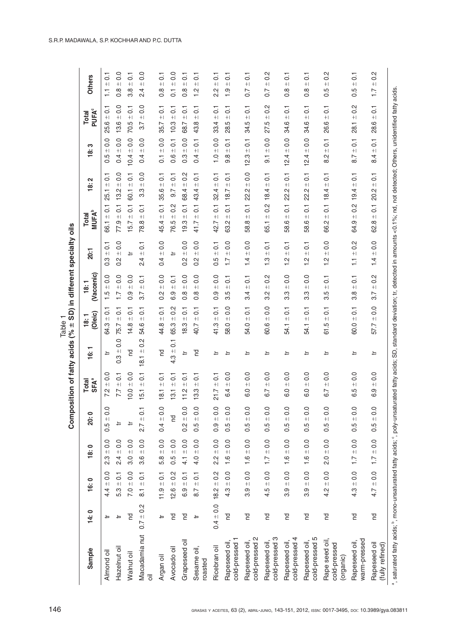|                                                |               |                   |                                                 | Composit         |                                              | tion of fatty acids (%       | $\pm$                                | SD) in different                                                 | specialty                                    | oils                                                              |                                          |                                                  |                                                                   |                                                     |
|------------------------------------------------|---------------|-------------------|-------------------------------------------------|------------------|----------------------------------------------|------------------------------|--------------------------------------|------------------------------------------------------------------|----------------------------------------------|-------------------------------------------------------------------|------------------------------------------|--------------------------------------------------|-------------------------------------------------------------------|-----------------------------------------------------|
| Sample                                         | 14:0          | 16:0              | 18:0                                            | <b>20:0</b>      | Total<br>SFA <sup>ª</sup>                    | 16:1                         | (Oleic)<br>18:1                      | (Vaccenic)<br>18:1                                               | <b>20:1</b>                                  | <b>MUFA</b> <sup>b</sup><br><b>Total</b>                          | 2<br>$\ddot{\mathbf{e}}$                 | က<br>$\ddot{\mathbf{e}}$                         | <b>PUFA</b> <sup>c</sup><br>Total                                 | <b>Others</b>                                       |
| Almond oil                                     | ≒             | $4.4 \pm 0.0$     | $\overline{0}$<br>$\bf +$ l<br>$2.\overline{3}$ | $0.5 \pm 0.0$    | $\pm 0.0$<br>7.2                             | à                            | $\overline{C}$<br>$64.3 +$           | $\overline{0}$ .<br>$\bf + $<br>1.5                              | $\overline{C}$<br>$\bf +$ l<br>$\frac{3}{2}$ | $\overline{0}$<br>$\bf +$ l<br>66.1                               | $\overline{c}$<br>$\bf + $<br>25.1       | 0.0<br>$+1$<br>rú<br>ö                           | $\overline{C}$<br>$+$<br>25.6                                     | $\overline{0}$<br>$\bf + $<br>H                     |
| Hazelnut oil                                   | ≒             | $5.3 \pm 0.1$     | $2.4 \pm 0.0$                                   | ≒                | $7.7 \pm 0.1$                                | $0.3 \pm 0.0$                | $\pm 0.1$<br>75.7                    | $1.7 \pm 0.0$                                                    | $\frac{0}{0}$<br>$+1$<br>$\frac{2}{3}$       | $\overline{0}$ .<br>$77.9 +$                                      | 0.0<br>$+1$<br>13.2                      | 0.0<br>$+1$<br>0.4                               | 0.0<br>$13.6 +$                                                   | $\frac{0}{0}$<br>$+1$<br>$\frac{8}{2}$              |
| Walnut oil                                     | PS            | $7.0 \pm 0.0$     | 0.0<br>$3.0 +$                                  | ≒                | $\overline{0}$<br>$+1$<br>$\frac{0}{2}$      | P                            | $\overline{O}$<br>$+1$<br>14.8       | $\overline{0}$<br>$+1$<br>0.9                                    | ≒                                            | $\overline{C}$<br>$\bf + $<br>15.7                                | $\overline{C}$<br>$+1$<br>60.1           | 0.0<br>$+1$<br>10.4                              | $\overline{c}$<br>$+1$<br>70.5                                    | $\overline{c}$<br>$+1$<br>3.8                       |
| Macadamia nut<br>$\overline{\overline{\circ}}$ | $0.7 \pm 0.2$ | $8.1 \pm 0.1$     | $3.6 \pm 0.0$                                   | $2.7 \pm 0.1$    | $\overline{1}$ . 1<br>5.1                    | $0.\overline{2}$<br>$18.1 +$ | $\overline{C}$<br>$+1$<br>54.6       | $\overline{0}$<br>$\bf + $<br>3.7                                | $\overline{0}$<br>$+1$<br>$\frac{4}{2}$      | $\overline{C}$<br>$\boldsymbol{+}\boldsymbol{\mathsf{I}}$<br>78.8 | $\overline{0}$ .<br>$\bf + $<br>3.3      | 0.0<br>$\bf + $<br>0.4                           | 0.0<br>$+1$<br>3.7                                                | 0.0<br>$+1$<br>$\frac{4}{2}$                        |
| Argan oil                                      | ≒             | $11.9 \pm 0.1$    | $5.8 \pm 0.0$                                   | $0.4 \pm 0.0$    | $-10$<br>$\overline{8}$                      | PO                           | $\overline{0}$ :1<br>44.8            | 0.0<br>$+1$<br>$\overline{0}$ .                                  | $0.4 \pm 0.0$                                | $\overline{C}$<br>45.4 ±                                          | $35.6 \pm 0.1$                           | $0.1 \pm 0.0$                                    | $35.7 \pm 0.1$                                                    | $\overline{C}$<br>$+1$<br>$\frac{8}{2}$             |
| Avocado oil                                    | <u>ص</u>      | $12.6 \pm 0.2$    | $\overline{0}$<br>$0.5 +$                       | 덛                | $\overline{0}$<br>$+1$<br>3.1                | $4.3 \pm 0.1$                | $0.\overline{2}$<br>$\bf + $<br>65.3 | $\overline{C}$<br>$\boldsymbol{+}\boldsymbol{\mathsf{I}}$<br>6.9 | ≒                                            | $\frac{2}{3}$<br>$\boldsymbol{+}\boldsymbol{\mathsf{I}}$<br>76.5  | $\overline{O}$<br>$+1$<br>9.7            | $\overline{0}$<br>$+1$<br>0.6                    | $\overline{c}$<br>$\boldsymbol{+}\boldsymbol{\mathsf{I}}$<br>10.3 | $\frac{0}{0}$<br>$+1$<br>$\overline{0}$             |
| Grapeseed oil                                  | <u>ی</u>      | $6.9 \pm 0.1$     | 4.1 $\pm$ 0.0                                   | $0.2 + 0.0$      | $\overline{c}$<br>$+1$<br>$\frac{2}{1}$      | à                            | $\overline{C}$<br>$+$<br>18.3        | $\overline{0}$ .<br>$+1$<br>$\frac{8}{2}$                        | $\overline{0}$<br>$+1$<br>$\frac{2}{3}$      | $\overline{0}$<br>$\bf + $<br>19.3                                | $0.\overline{2}$<br>$+1$<br>68.4         | 0.0<br>$+1$<br>$\frac{3}{2}$                     | $\overline{C}$<br>$\qquad \qquad + \,$<br>68.7                    | $\overline{c}$<br>$\bf + $<br>$\frac{8}{2}$         |
| Sesame oil,<br>roasted                         | ≒             | $8.7 \pm 0.1$     | $4.0 \pm 0.0$                                   | $0.5 \pm 0.0$    | $-10.1$<br>33                                | <b>PO</b>                    | $-10.1$<br>40.7                      | $\overline{0}$<br>$+1$<br>$\frac{8}{2}$                          | $\overline{0}$<br>$+1$<br>$\frac{2}{3}$      | $\overline{C}$<br>$+1$<br>41.7                                    | $+0.1$<br>43.4                           | $\overline{C}$<br>$+1$<br>0.4                    | $\overline{C}$<br>$+1$<br>43.8                                    | $\overline{c}$<br>$+1$<br>$\frac{2}{1}$             |
| Ricebran oil                                   | $0.4 \pm 0.0$ | $\pm 0.2$<br>18.2 | $\overline{0}$<br>$\frac{+}{2.2}$               | $-10.0$<br>0.9   | $\overline{C}$<br>$+1$<br>21.7               | ≒                            | $\overline{C}$<br>$+$<br>41.3        | $\overline{0}$<br>$\bf + $<br>$\overline{0}$ .                   | $\overline{C}$<br>$+1$<br>0.5                | $\overline{C}$<br>$\bf + $<br>42.7                                | $\overline{0}$<br>$+$<br>32.4            | $\overline{0}$ .<br>$+1$<br>$\frac{0}{1}$        | $\overline{0}$<br>$\qquad \qquad + \, \lvert$<br>33.4             | $\overline{c}$<br>$+$<br>22                         |
| cold-pressed 1<br>Rapeseed oil                 | P             | $4.3 \pm 0.0$     | $1.6 \pm 0.0$                                   | $-6.0$<br>0.5    | $\frac{0}{2}$<br>$+1$<br>$\overline{4}$<br>ဖ | ≒                            | 0.0<br>$+$<br>Q<br>58.               | $\overline{c}$<br>$+1$<br>3.5                                    | $\overline{0}$<br>$+1$<br>$\overline{1}$ .   | $\overline{0}$<br>$+1$<br>63.2                                    | $\overline{C}$<br>$+1$<br>18.7           | $\overline{0}$<br>$+$<br>$9.\overline{8}$        | $\overline{C}$<br>$+1$<br>28.5                                    | $\overline{c}$<br>$+1$<br>$\frac{0}{1}$             |
| cold-pressed 2<br>Rapeseed oil,                | <b>Pd</b>     | $3.9 + 0.0$       | $1.6 \pm 0.0$                                   | $0.5 \pm 0.0$    | $\pm 0.0$<br>$\overline{6}$ .0               | ≒                            | $\overline{C}$<br>$+1$<br>54.0       | $\overline{c}$<br>$+1$<br>34                                     | $\pm 0.0$<br>$\frac{4}{1}$                   | $\overline{C}$<br>$\bf + $<br>58.8                                | $-6.0$<br>22.2                           | $12.3 \pm 0.1$                                   | $\pm 0.1$<br>34.5                                                 | $\overline{C}$<br>$\bf + \bf  $<br>$\overline{0.7}$ |
| cold-pressed 3<br>Rapeseed oil                 | <u>ی</u>      | $-0.0$<br>4.5     | $-10.0$<br>$\overline{1}$ .                     | $-10.0$<br>0.5   | $\frac{0}{0}$<br>$+1$<br>6.7                 | ≒                            | 0.0<br>$+1$<br>ڢ<br>8                | $0.\overline{2}$<br>$+1$<br>Ņ<br>က်                              | $\overline{0}$<br>$+1$<br>$\frac{3}{1}$      | $0.\overline{2}$<br>$+1$<br>65.1                                  | $\overline{C}$<br>$+1$<br>18.4           | 0.0<br>$+1$<br>$\overline{9}$                    | $0.\overline{2}$<br>$+1$<br>io.<br>27                             | $0.\overline{2}$<br>$+1$<br>$\overline{0}$ .        |
| cold-pressed 4<br>Rapeseed oil                 | P             | $\pm 0.0$<br>3.9  | $1.6 \pm 0.0$                                   | $\pm 0.0$<br>0.5 | $\overline{0}$<br>$\bf + $<br>$\circ$<br>ة   | ≒                            | $\overline{c}$<br>$\bf + $<br>54.1   | $\overline{0}$ .<br>$\bf + $<br>3.3                              | $\overline{c}$<br>$+1$<br>$\frac{1}{2}$      | $\overline{C}$<br>$+1$<br>ဖ<br>58.                                | $\overline{c}$<br>$\bf + $<br>Ņ<br>ର୍    | $\overline{0}$ .<br>$\qquad \qquad + \,$<br>12.4 | $\overline{c}$<br>$\bf + $<br>34.6                                | $\overline{c}$<br>$+1$<br>$0.\overline{8}$          |
| cold-pressed 5<br>Rapeseed oil                 | <u>۲۵</u>     | $3.9 + 0.0$       | $1.6 \pm 0.0$                                   | $0.5 \pm 0.0$    | $\frac{0}{0}$<br>$+1$<br>6.0                 | ≒                            | $\overline{C}$<br>$\bf + $<br>54.1   | $\overline{0}$<br>$+1$<br>3.3                                    | $\overline{C}$<br>$+1$<br>$\frac{1}{1}$      | $\overline{C}$<br>$\bf + $<br>58.6                                | $\overline{C}$<br>$+1$<br>Ņ<br><u>ର୍</u> | $12.4 \pm 0.0$                                   | $\overline{C}$<br>$+1$<br>34.6                                    | $\overline{C}$<br>$\bf + $<br>$\frac{8}{2}$         |
| Rape seed oil,<br>cold-pressed<br>(organic)    | <u>ی</u>      | $\pm 0.0$<br>4.2  | $2.0 \pm 0.0$                                   | $\pm 0.0$<br>0.5 | $\frac{0}{0}$<br>$+1$<br>6.7                 | ≒                            | $\overline{C}$<br>$+1$<br>rù.<br>61  | $\overline{\circ}$<br>$+1$<br>гÙ<br>က                            | $\frac{0}{0}$<br>$+1$<br>$\frac{2}{1}$       | $\overline{c}$<br>$+1$<br>Ņ<br>.<br>ග                             | $\overline{C}$<br>$+1$<br>18.4           | $\overline{0}$<br>$+1$<br>N<br>∞                 | $\overline{O}$<br>$+1$<br>26.6                                    | $\frac{2}{3}$<br>$+1$<br>rö.<br>ö                   |
| warm-pressed<br>Rapeseed oil                   | 5             | $\pm 0.0$<br>4.3  | $1.7 \pm 0.0$                                   | $\pm 0.0$<br>0.5 | $\frac{0}{0}$<br>$+1$<br>5<br>ق              | ≒                            | $\overline{C}$<br>$+$<br>60.0        | $\overline{C}$<br>$+1$<br>œ<br>က                                 | $0.\overline{2}$<br>$+1$<br>H                | $0.\overline{2}$<br>$+1$<br>64.9                                  | $\overline{C}$<br>$+1$<br>19.4           | $\overline{0}$<br>$+1$<br>8.7                    | 0.2<br>$+1$<br>28.1                                               | $\overline{0}$<br>$+1$<br>0.5                       |
| Rapeseed oil<br>(fully refined)                | <b>Pd</b>     | $4.7 \pm 0.0$     | $1.7 \pm 0.0$                                   | $0.5 = 0.0$      | $\pm 0.0$<br>6.9                             | ≒                            | $-10.0$<br>57.7                      | $3.7 \pm 0.2$                                                    | $1.4 \pm 0.0$                                | $62.8 \pm 0.1$                                                    | $20.2 \pm 0.1$                           | $8.4 \pm 0.1$                                    | $28.6 \pm 0.1$                                                    | $\frac{2}{3}$<br>$+1$<br>$\overline{1}$ .           |

| Table 1 | t specialty o<br>Composition of fatty acids (% $\pm$ SD) in different |
|---------|-----------------------------------------------------------------------|
|         |                                                                       |
|         |                                                                       |

146 grasas <sup>y</sup> aceites, 63 (2), abril-junio, 143-151, 2012, issn: 0017-3495, doi: 10.3989/gya.083811

a, saturated fatty acids; b, mono-unsaturated fatty acids; c, poly-unsaturated fatty acids; SD, standard deviation; tr, detected in amounts <0.1%; nd, not detected; Others, unidentified fatty acids.

aturated fatty acids; <sup>b</sup>, mono-unsaturated fatty acids; °, poly-unsaturated fatty acids; SD, standard deviation; tr, detected in amounts <0.1%; nd, not detected; Others, unidentified fatty acids.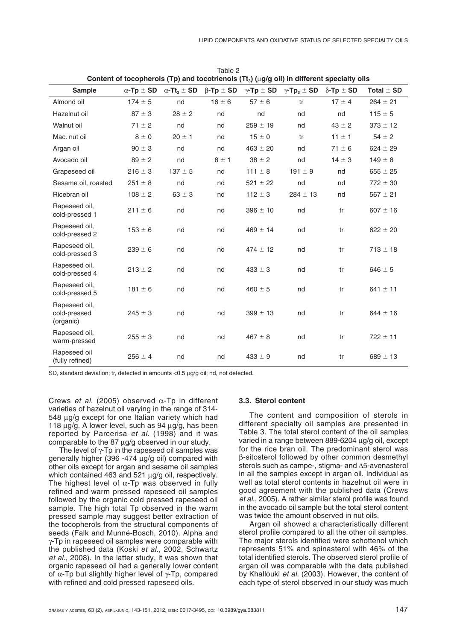| Content of tocopherois (Tp) and tocotrienois (Tt <sub>3</sub> ) (ug/g oil) in different specialty oils |                       |                                    |                      |                       |                                    |                       |                |
|--------------------------------------------------------------------------------------------------------|-----------------------|------------------------------------|----------------------|-----------------------|------------------------------------|-----------------------|----------------|
| <b>Sample</b>                                                                                          | $\alpha$ -Tp $\pm$ SD | $\alpha$ -Tt <sub>3</sub> $\pm$ SD | $\beta$ -Tp $\pm$ SD | $\gamma$ -Tp $\pm$ SD | $\gamma$ -Tp <sub>3</sub> $\pm$ SD | $\delta$ -Tp $\pm$ SD | Total $\pm$ SD |
| Almond oil                                                                                             | $174 \pm 5$           | nd                                 | $16 \pm 6$           | $57 \pm 6$            | tr                                 | $17 \pm 4$            | $264 \pm 21$   |
| Hazelnut oil                                                                                           | $87 \pm 3$            | $28 \pm 2$                         | nd                   | nd                    | nd                                 | nd                    | $115 \pm 5$    |
| Walnut oil                                                                                             | $71 \pm 2$            | nd                                 | nd                   | $259 \pm 19$          | nd                                 | $43 \pm 2$            | $373 \pm 12$   |
| Mac. nut oil                                                                                           | $8 \pm 0$             | $20 \pm 1$                         | nd                   | $15 \pm 0$            | tr                                 | $11 \pm 1$            | $54 \pm 2$     |
| Argan oil                                                                                              | $90 \pm 3$            | nd                                 | nd                   | $463 \pm 20$          | nd                                 | $71 \pm 6$            | $624 \pm 29$   |
| Avocado oil                                                                                            | $89 \pm 2$            | nd                                 | $8 \pm 1$            | $38 \pm 2$            | nd                                 | $14 \pm 3$            | $149 \pm 8$    |
| Grapeseed oil                                                                                          | $216 \pm 3$           | $137 \pm 5$                        | nd                   | $111 \pm 8$           | 191 $\pm$ 9                        | nd                    | $655 \pm 25$   |
| Sesame oil, roasted                                                                                    | $251 \pm 8$           | nd                                 | nd                   | $521 \pm 22$          | nd                                 | nd                    | $772 \pm 30$   |
| Ricebran oil                                                                                           | $108 \pm 2$           | $63 \pm 3$                         | nd                   | $112 \pm 3$           | $284 \pm 13$                       | nd                    | $567 \pm 21$   |
| Rapeseed oil,<br>cold-pressed 1                                                                        | $211 \pm 6$           | nd                                 | nd                   | $396 \pm 10$          | nd                                 | tr                    | $607 \pm 16$   |
| Rapeseed oil,<br>cold-pressed 2                                                                        | $153 \pm 6$           | nd                                 | nd                   | $469 \pm 14$          | nd                                 | tr                    | $622 \pm 20$   |
| Rapeseed oil,<br>cold-pressed 3                                                                        | $239 \pm 6$           | nd                                 | nd                   | $474 \pm 12$          | nd                                 | tr                    | $713 \pm 18$   |
| Rapeseed oil,<br>cold-pressed 4                                                                        | $213 \pm 2$           | nd                                 | nd                   | $433 \pm 3$           | nd                                 | tr                    | $646 \pm 5$    |
| Rapeseed oil,<br>cold-pressed 5                                                                        | $181 \pm 6$           | nd                                 | nd                   | $460 \pm 5$           | nd                                 | tr                    | $641 \pm 11$   |
| Rapeseed oil,<br>cold-pressed<br>(organic)                                                             | $245 \pm 3$           | nd                                 | nd                   | $399 \pm 13$          | nd                                 | tr                    | $644 \pm 16$   |
| Rapeseed oil,<br>warm-pressed                                                                          | $255 \pm 3$           | nd                                 | nd                   | $467 \pm 8$           | nd                                 | tr                    | $722 \pm 11$   |
| Rapeseed oil<br>(fully refined)                                                                        | $256 \pm 4$           | nd                                 | nd                   | $433 \pm 9$           | nd                                 | tr                    | $689 \pm 13$   |

Table 2  $\cdots$   $\cdots$   $\cdots$ **Content of tocopherols (Tp) and tocotrienols (Tt3) (**µ**g/g oil) in different specialty oils**

SD, standard deviation; tr, detected in amounts <0.5 µg/g oil; nd, not detected.

Crews *et al.* (2005) observed  $\alpha$ -Tp in different varieties of hazelnut oil varying in the range of 314- 548 µg/g except for one Italian variety which had 118 µg/g. A lower level, such as 94 µg/g, has been reported by Parcerisa *et al.* (1998) and it was comparable to the 87 µg/g observed in our study.

The level of  $\gamma$ -Tp in the rapeseed oil samples was generally higher (396 -474  $\mu$ g/g oil) compared with other oils except for argan and sesame oil samples which contained 463 and  $521 \mu g/g$  oil, respectively. The highest level of  $\alpha$ -Tp was observed in fully refined and warm pressed rapeseed oil samples followed by the organic cold pressed rapeseed oil sample. The high total Tp observed in the warm pressed sample may suggest better extraction of the tocopherols from the structural components of seeds (Falk and Munné-Bosch, 2010). Alpha and  $\gamma$ -Tp in rapeseed oil samples were comparable with the published data (Koski *et al.*, 2002, Schwartz *et al.*, 2008). In the latter study, it was shown that organic rapeseed oil had a generally lower content of  $\alpha$ -Tp but slightly higher level of  $\gamma$ -Tp, compared with refined and cold pressed rapeseed oils.

#### **3.3. Sterol content**

The content and composition of sterols in different specialty oil samples are presented in Table 3. The total sterol content of the oil samples varied in a range between 889-6204 µg/g oil, except for the rice bran oil. The predominant sterol was b-sitosterol followed by other common desmethyl sterols such as campe-, stigma- and  $\Delta$ 5-avenasterol in all the samples except in argan oil. Individual as well as total sterol contents in hazelnut oil were in good agreement with the published data (Crews *et al.*, 2005). A rather similar sterol profile was found in the avocado oil sample but the total sterol content was twice the amount observed in nut oils.

Argan oil showed a characteristically different sterol profile compared to all the other oil samples. The major sterols identified were schottenol which represents 51% and spinasterol with 46% of the total identified sterols. The observed sterol profile of argan oil was comparable with the data published by Khallouki *et al.* (2003). However, the content of each type of sterol observed in our study was much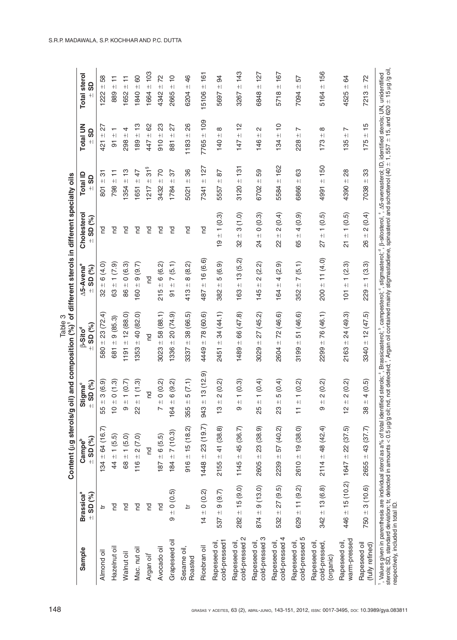|                                            |                                             | Content (ug sterols/g oil                                                                                                                                                                                                                                                                           |                                         | Table 3<br>) and composition (%)'                                                                                                                           | of different sterols in different specialty oils  |                                             |                               |                                                              |                                 |
|--------------------------------------------|---------------------------------------------|-----------------------------------------------------------------------------------------------------------------------------------------------------------------------------------------------------------------------------------------------------------------------------------------------------|-----------------------------------------|-------------------------------------------------------------------------------------------------------------------------------------------------------------|---------------------------------------------------|---------------------------------------------|-------------------------------|--------------------------------------------------------------|---------------------------------|
| Sample                                     | <b>Brassica<sup>a</sup></b><br>$\pm$ SD (%) | $\pm$ SD (%)<br>Campe <sup>b</sup>                                                                                                                                                                                                                                                                  | $=$ SD (%)<br>Stigma <sup>c</sup>       | SD (%)<br>$\beta$ -Sito <sup>d</sup><br>$+1$                                                                                                                | ∆5-Avena°<br>SD (%)<br>$\ddot{\pm}$               | Cholesterol<br>SD (%)<br>$+1$               | Total ID<br><u>င်</u><br>$+1$ | <b>Total UN</b><br>9S                                        | <b>Total sterol</b><br><u>ဌ</u> |
| Almond oil                                 | $\pm$                                       | $134 \pm 64$ (16.7)                                                                                                                                                                                                                                                                                 | 3(6.9)<br>55 ±                          | 580 $\pm$ 23 (72.4)                                                                                                                                         | 6(4.0)<br>$+1$<br>32                              | P                                           | 75<br>$\frac{+}{801}$         | 27<br>$+$<br>421                                             | 58<br>$+1$<br>1222              |
| Hazelnut oil                               | pq                                          | $44 \pm 1(5.5)$                                                                                                                                                                                                                                                                                     | 0(1.3)<br>$\frac{+}{0}$                 | 681 $\pm$ 9 (85.3)                                                                                                                                          | $\pm$ 1 (7.9)<br>8                                | P                                           | Ξ<br>$-1867$                  | $\overline{\phantom{0}}$<br>$\qquad \qquad + \, \lvert$<br>5 | Ξ<br>$-588$                     |
| Walnut oil                                 | pq                                          | $68 \pm 1 (5.0)$                                                                                                                                                                                                                                                                                    | 1(0.7)<br>$+$<br>$\infty$               | ± 12(88.0)<br>1191                                                                                                                                          | 10(6.3)<br>86                                     | P                                           | $\frac{1}{2}$<br>$1354 +$     | 4<br>$+1$<br>298                                             | Ξ<br>$1652 +$                   |
| Mac. nut oil                               | Pu                                          | $116 \pm 2(7.0)$                                                                                                                                                                                                                                                                                    | 1(1.3)<br>$\frac{+1}{2}$                | $+40(82.0)$<br>1353                                                                                                                                         | $160 \pm 9(9.7)$                                  | PS                                          | 47<br>$+1$<br>1651            | $\frac{3}{5}$<br>$189 +$                                     | 80<br>1840 ±                    |
| Argan oil <sup>f</sup>                     | pq                                          | pa                                                                                                                                                                                                                                                                                                  | p                                       | pd                                                                                                                                                          | pq                                                | pq                                          | $31^{\circ}$<br>$+1$<br>1217  | 8<br>$+1$<br>447                                             | 103<br>$+1$<br>1664             |
| Avocado oil                                | pq                                          | $187 \pm 6(5.5)$                                                                                                                                                                                                                                                                                    | 0(0.2)<br>$\qquad \qquad + \,$<br>L     | ± 58(88.1)<br>3023                                                                                                                                          | $-6(6.2)$<br>215                                  | PS                                          | 20<br>$\frac{1}{2}$<br>3432   | 23<br>$+1$<br>010                                            | 22<br>4342 ±                    |
| Grapeseed oil                              | $9 = 0 (0.5)$                               | $184 \pm 7(10.3)$                                                                                                                                                                                                                                                                                   | 6(9.2)<br>$\bf + $<br>164               | 20 (74.9)<br>$+1$<br>1336                                                                                                                                   | 7(5.1)<br>$+1$<br>51                              | pq                                          | 57<br>$+$<br>1784             | 27<br>$+1$<br>881                                            | $\overline{0}$<br>$+1$<br>2665  |
| Sesame oil,<br>Roasted                     | ≒                                           | $916 \pm 15 (18.2)$                                                                                                                                                                                                                                                                                 | 5(7.1)<br>$+$<br>355                    | 38 (66.5)<br>$+1$<br>3337                                                                                                                                   | $-8(8.2)$<br>413                                  | p                                           | 86<br>$+1$<br>5021            | 88<br>$+1$<br>1183                                           | 46<br>$+1$<br>6204              |
| Ricebran oil                               | $14 \pm 0$ (0.2)                            | $1448 \pm 23(19.7)$                                                                                                                                                                                                                                                                                 | 13(12.9)<br>$943 +$                     | ± 78(60.6)<br>4449                                                                                                                                          | ± 16(6.6)<br>487                                  | g                                           | ± 127<br>7341                 | ± 109<br>7765                                                | 161<br>$+1$<br>15106            |
| cold-pressed1<br>Rapeseed oil,             | 9(9.7)<br>$+1$<br>537                       | $2155 \pm 41$ (38.8)                                                                                                                                                                                                                                                                                | 2(0.2)<br>$+1$<br>$\frac{3}{2}$         | 34 (44.1)<br>$+1$<br>2451                                                                                                                                   | 5(6.9)<br>$+1$<br>382                             | (0.3)<br>$\overline{ }$<br>$+1$<br><u>ဂ</u> | 56<br>$+1$<br>5557            | $\infty$<br>$+1$<br>140                                      | 94<br>$+1$<br>5697              |
| cold-pressed 2<br>Rapeseed oil             | $282 \pm 15(9.0)$                           | $1145 \pm 45 (36.7)$                                                                                                                                                                                                                                                                                | (0.3)<br>$\leftarrow$<br>$\pm$<br>တ     | 66 (47.8)<br>$+1$<br>1489                                                                                                                                   | ± 13(5.2)<br>163                                  | (1.0)<br>က<br>$\bf + $<br>82                | 131<br>$+1$<br>3120           | $\frac{1}{2}$<br>$+1$<br>147                                 | ± 143<br>3267                   |
| cold-pressed 3<br>Rapeseed oil             | $874 \pm 9(13.0)$                           | $2605 \pm 23(38.9)$                                                                                                                                                                                                                                                                                 | 1(0.4)<br>$+1$<br>25                    | 27(45.2)<br>$+$<br>3029                                                                                                                                     | (2.2)<br>$\overline{\mathsf{C}}$<br>$+1$<br>145   | 0(0.3)<br>$+1$<br>24                        | 59<br>$+$<br>6702             | $\sim$<br>$+$<br>146                                         | 127<br>$+1$<br>6848             |
| cold-pressed 4<br>Rapeseed oil,            | $532 \pm 27 (9.5)$                          | $2239 \pm 57(40.2)$                                                                                                                                                                                                                                                                                 | 5(0.4)<br>$+1$<br>23                    | ± 72(46.6)<br>2604                                                                                                                                          | $\pm 4$ (2.9)<br>164                              | 2(0.4)<br>$+1$<br>$\approx$                 | ± 162<br>5584                 | $\frac{1}{2}$<br>$+1$<br>134                                 | ±167<br>5718                    |
| cold-pressed 5<br>Rapeseed oil             | $629 \pm 11 (9.2)$                          | $2610 \pm 19$ (38.0)                                                                                                                                                                                                                                                                                | (0.2)<br>$\frac{+1}{1}$                 | 51 (46.6)<br>$+1$<br>3199                                                                                                                                   | 7(5.1)<br>$+1$<br>352                             | 4(0.9)<br>$+1$<br>65                        | 89<br>$+1$<br>6866            | ↖<br>$+1$<br>228                                             | 57<br>$+$<br>7094               |
| cold-pressed,<br>Rapeseed oil<br>(organic) | $342 \pm 13$ (6.8)                          | $2114 \pm 48$ (42.4)                                                                                                                                                                                                                                                                                | 2(0.2)<br>$+1$<br>တ                     | $2299 = 76(46.1)$                                                                                                                                           | $200 \pm 11 (4.0)$                                | $\pm$ 1 (0.5)<br>27                         | $4991 + 150$                  | $\infty$<br>$\qquad \qquad + \,$<br>173                      | ± 156<br>5164                   |
| warm-pressed<br>Rapeseed oil,              |                                             | $446 \pm 15 (10.2)$ $1647 \pm 22 (37.5)$                                                                                                                                                                                                                                                            | (0.2)<br>$\sim$<br>$+$<br>$\frac{1}{2}$ | 24 (49.3)<br>$+1$<br>2163                                                                                                                                   | (2.3)<br>$\overline{ }$<br>$+1$<br>$\overline{5}$ | (0.5)<br>$+1$<br>$\overline{\Omega}$        | 88<br>$+1$<br>4390            | ↖<br>$+1$<br>135                                             | 84<br>$+1$<br>4525              |
| Rapeseed oil<br>(fully refined)            | $750 \pm 3(10.6)$                           | $2655 \pm 43(37.7)$                                                                                                                                                                                                                                                                                 | (0.5)<br>4<br>$+$<br>38                 | $-12(47.5)$<br>3340                                                                                                                                         | (3.3)<br>$\overline{\phantom{0}}$<br>$+1$<br>229  | (0.4)<br>$\sim$<br>$+1$<br>88               | 33<br>$\pm$<br>7038           | $\frac{5}{1}$<br>$+1$<br>175                                 | 72<br>$+1$<br>7213              |
| respectively, included in total ID.        |                                             | 1, Values given in parenthesis are individual sterol as a% of total identified sterols; 8 Passicasterol; campesterol; 3, stigmasterol; 4, B-sitosterol; 1, 35-avenasterol; ID, identified sterols; UN, unidentified<br>sterols; SD, standard deviation; tr, detected in amounts < 0.5 µg/g oil; nd, |                                         | not detected; $\mathfrak{f}$ , Argan oil contained mainly stigmastadiene, spinasterol and schottenol (40 $\pm$ 1, 557 $\pm$ 15, and 620 $\pm$ 15 µg /g oil, |                                                   |                                             |                               |                                                              |                                 |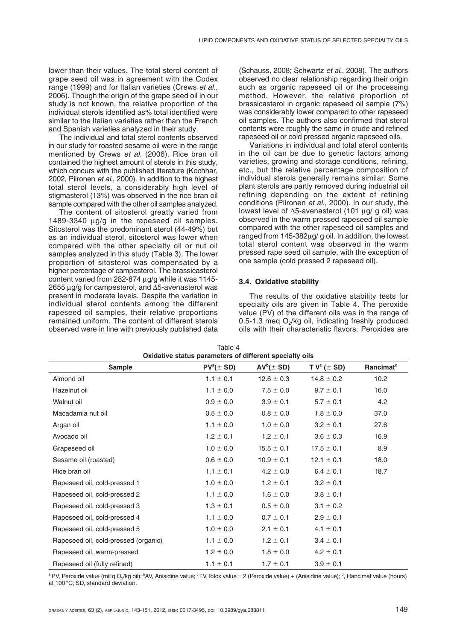lower than their values. The total sterol content of grape seed oil was in agreement with the Codex range (1999) and for Italian varieties (Crews *et al.*, 2006). Though the origin of the grape seed oil in our study is not known, the relative proportion of the individual sterols identified as% total identified were similar to the Italian varieties rather than the French and Spanish varieties analyzed in their study.

The individual and total sterol contents observed in our study for roasted sesame oil were in the range mentioned by Crews *et al.* (2006). Rice bran oil contained the highest amount of sterols in this study, which concurs with the published literature (Kochhar, 2002, Piironen *et al.*, 2000). In addition to the highest total sterol levels, a considerably high level of stigmasterol (13%) was observed in the rice bran oil sample compared with the other oil samples analyzed.

The content of sitosterol greatly varied from 1489-3340 µg/g in the rapeseed oil samples. Sitosterol was the predominant sterol (44-49%) but as an individual sterol, sitosterol was lower when compared with the other specialty oil or nut oil samples analyzed in this study (Table 3). The lower proportion of sitosterol was compensated by a higher percentage of campesterol. The brassicasterol content varied from 282-874 µg/g while it was 1145- 2655  $\mu$ g/g for campesterol, and  $\Delta$ 5-avenasterol was present in moderate levels. Despite the variation in individual sterol contents among the different rapeseed oil samples, their relative proportions remained uniform. The content of different sterols observed were in line with previously published data (Schauss, 2008; Schwartz *et al.*, 2008). The authors observed no clear relationship regarding their origin such as organic rapeseed oil or the processing method. However, the relative proportion of brassicasterol in organic rapeseed oil sample (7%) was considerably lower compared to other rapeseed oil samples. The authors also confirmed that sterol contents were roughly the same in crude and refined rapeseed oil or cold pressed organic rapeseed oils.

Variations in individual and total sterol contents in the oil can be due to genetic factors among varieties, growing and storage conditions, refining, etc., but the relative percentage composition of individual sterols generally remains similar. Some plant sterols are partly removed during industrial oil refining depending on the extent of refining conditions (Piironen *et al.*, 2000). In our study, the lowest level of  $\Delta 5$ -avenasterol (101 µg/ g oil) was observed in the warm pressed rapeseed oil sample compared with the other rapeseed oil samples and ranged from 145-382µg/ g oil. In addition, the lowest total sterol content was observed in the warm pressed rape seed oil sample, with the exception of one sample (cold pressed 2 rapeseed oil).

## **3.4. Oxidative stability**

The results of the oxidative stability tests for specialty oils are given in Table 4. The peroxide value (PV) of the different oils was in the range of 0.5-1.3 meg  $O<sub>2</sub>/kg$  oil, indicating freshly produced oils with their characteristic flavors. Peroxides are

| Oxidative status parameters of different specialty ons |                  |                |                     |                       |  |  |  |  |
|--------------------------------------------------------|------------------|----------------|---------------------|-----------------------|--|--|--|--|
| <b>Sample</b>                                          | $PV^{a}(\pm SD)$ | $AV^b(\pm SD)$ | T $V^c$ ( $\pm$ SD) | Rancimat <sup>d</sup> |  |  |  |  |
| Almond oil                                             | $1.1 \pm 0.1$    | $12.6 \pm 0.3$ | $14.8 \pm 0.2$      | 10.2                  |  |  |  |  |
| Hazelnut oil                                           | $1.1 \pm 0.0$    | $7.5 \pm 0.0$  | $9.7 \pm 0.1$       | 16.0                  |  |  |  |  |
| Walnut oil                                             | $0.9 \pm 0.0$    | $3.9 \pm 0.1$  | $5.7 \pm 0.1$       | 4.2                   |  |  |  |  |
| Macadamia nut oil                                      | $0.5 \pm 0.0$    | $0.8 \pm 0.0$  | $1.8 \pm 0.0$       | 37.0                  |  |  |  |  |
| Argan oil                                              | $1.1 \pm 0.0$    | $1.0 \pm 0.0$  | $3.2 \pm 0.1$       | 27.6                  |  |  |  |  |
| Avocado oil                                            | $1.2 \pm 0.1$    | $1.2 \pm 0.1$  | $3.6 \pm 0.3$       | 16.9                  |  |  |  |  |
| Grapeseed oil                                          | $1.0 \pm 0.0$    | $15.5 \pm 0.1$ | $17.5 \pm 0.1$      | 8.9                   |  |  |  |  |
| Sesame oil (roasted)                                   | $0.6 \pm 0.0$    | $10.9 \pm 0.1$ | $12.1 \pm 0.1$      | 18.0                  |  |  |  |  |
| Rice bran oil                                          | $1.1 \pm 0.1$    | $4.2 \pm 0.0$  | $6.4 \pm 0.1$       | 18.7                  |  |  |  |  |
| Rapeseed oil, cold-pressed 1                           | $1.0 \pm 0.0$    | $1.2 \pm 0.1$  | $3.2 \pm 0.1$       |                       |  |  |  |  |
| Rapeseed oil, cold-pressed 2                           | $1.1 \pm 0.0$    | $1.6 \pm 0.0$  | $3.8 \pm 0.1$       |                       |  |  |  |  |
| Rapeseed oil, cold-pressed 3                           | $1.3 \pm 0.1$    | $0.5 \pm 0.0$  | $3.1 \pm 0.2$       |                       |  |  |  |  |
| Rapeseed oil, cold-pressed 4                           | $1.1 \pm 0.0$    | $0.7 \pm 0.1$  | $2.9 \pm 0.1$       |                       |  |  |  |  |
| Rapeseed oil, cold-pressed 5                           | $1.0 \pm 0.0$    | $2.1 \pm 0.1$  | $4.1 \pm 0.1$       |                       |  |  |  |  |
| Rapeseed oil, cold-pressed (organic)                   | $1.1 \pm 0.0$    | $1.2 \pm 0.1$  | $3.4 \pm 0.1$       |                       |  |  |  |  |
| Rapeseed oil, warm-pressed                             | $1.2 \pm 0.0$    | $1.8 \pm 0.0$  | $4.2 \pm 0.1$       |                       |  |  |  |  |
| Rapeseed oil (fully refined)                           | $1.1 \pm 0.1$    | $1.7 \pm 0.1$  | $3.9 \pm 0.1$       |                       |  |  |  |  |

Table 4 **Oxidative status parameters of different specialty oils**

<sup>a</sup> PV, Peroxide value (mEq O<sub>2</sub>/kg oil); <sup>b</sup>AV, Anisidine value; °TV,Totox value = 2 (Peroxide value) + (Anisidine value); <sup>d</sup>, Rancimat value (hours) at 100°C; SD, standard deviation.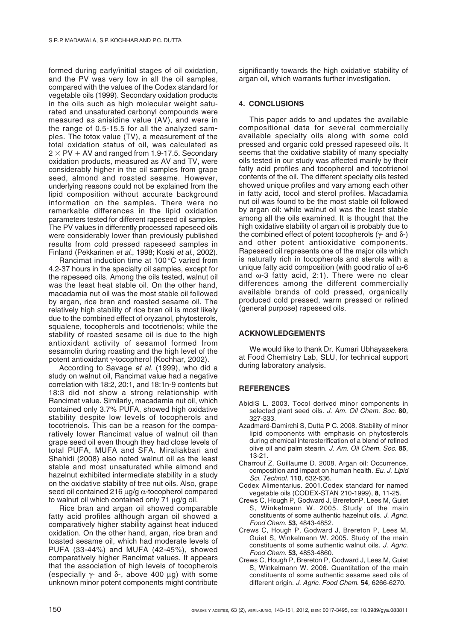formed during early/initial stages of oil oxidation, and the PV was very low in all the oil samples, compared with the values of the Codex standard for vegetable oils (1999). Secondary oxidation products in the oils such as high molecular weight saturated and unsaturated carbonyl compounds were measured as anisidine value (AV), and were in the range of 0.5-15.5 for all the analyzed sam ples. The totox value (TV), a measurement of the total oxidation status of oil, was calculated as  $2 \times PV + AV$  and ranged from 1.9-17.5. Secondary oxidation products, measured as AV and TV, were considerably higher in the oil samples from grape seed, almond and roasted sesame. However, underlying reasons could not be explained from the lipid composition without accurate background information on the samples. There were no remarkable differences in the lipid oxidation parameters tested for different rapeseed oil samples. The PV values in differently processed rapeseed oils were considerably lower than previously published results from cold pressed rapeseed samples in Finland (Pekkarinen *et al.*, 1998; Koski *et al.*, 2002).

Rancimat induction time at 100 °C varied from 4.2-37 hours in the specialty oil samples, except for the rapeseed oils. Among the oils tested, walnut oil was the least heat stable oil. On the other hand, macadamia nut oil was the most stable oil followed by argan, rice bran and roasted sesame oil. The relatively high stability of rice bran oil is most likely due to the combined effect of oryzanol, phytosterols, squalene, tocopherols and tocotrienols; while the stability of roasted sesame oil is due to the high antioxidant activity of sesamol formed from sesamolin during roasting and the high level of the potent antioxidant y-tocopherol (Kochhar, 2002).

According to Savage *et al.* (1999), who did a study on walnut oil, Rancimat value had a negative correlation with 18:2, 20:1, and 18:1n-9 contents but 18:3 did not show a strong relationship with Rancimat value. Similarly, macadamia nut oil, which contained only 3.7% PUFA, showed high oxidative stability despite low levels of tocopherols and tocotrienols. This can be a reason for the comparatively lower Rancimat value of walnut oil than grape seed oil even though they had close levels of total PUFA, MUFA and SFA. Miraliakbari and Shahidi (2008) also noted walnut oil as the least stable and most unsaturated while almond and hazelnut exhibited intermediate stability in a study on the oxidative stability of tree nut oils. Also, grape seed oil contained 216  $\mu$ g/g  $\alpha$ -tocopherol compared to walnut oil which contained only 71 µg/g oil.

Rice bran and argan oil showed comparable fatty acid profiles although argan oil showed a comparatively higher stability against heat induced oxidation. On the other hand, argan, rice bran and toasted sesame oil, which had moderate levels of PUFA (33-44%) and MUFA (42-45%), showed comparatively higher Rancimat values. It appears that the association of high levels of tocopherols (especially γ- and δ-, above 400 µg) with some unknown minor potent components might contribute significantly towards the high oxidative stability of argan oil, which warrants further investigation.

# **4. CONCLUSIONS**

This paper adds to and updates the available compositional data for several commercially available specialty oils along with some cold pressed and organic cold pressed rapeseed oils. It seems that the oxidative stability of many specialty oils tested in our study was affected mainly by their fatty acid profiles and tocopherol and tocotrienol contents of the oil. The different specialty oils tested showed unique profiles and vary among each other in fatty acid, tocol and sterol profiles. Macadamia nut oil was found to be the most stable oil followed by argan oil: while walnut oil was the least stable among all the oils examined. It is thought that the high oxidative stability of argan oil is probably due to the combined effect of potent tocopherols ( $γ$ - and  $δ$ -) and other potent antioxidative components. Rapeseed oil represents one of the major oils which is naturally rich in tocopherols and sterols with a unique fatty acid composition (with good ratio of ω-6 and ω-3 fatty acid, 2:1). There were no clear differences among the different commercially available brands of cold pressed, organically produced cold pressed, warm pressed or refined (general purpose) rapeseed oils.

## **ACKNOWLEDGEMENTS**

We would like to thank Dr. Kumari Ubhayasekera at Food Chemistry Lab, SLU, for technical support during laboratory analysis.

# **REFERENCES**

- AbidiS L. 2003. Tocol derived minor components in selected plant seed oils. *J. Am. Oil Chem. Soc.* **80***,* 327-333.
- Azadmard-Damirchi S, Dutta P C. 2008. Stability of minor lipid components with emphasis on phytosterols during chemical interesterification of a blend of refined olive oil and palm stearin. *J. Am. Oil Chem. Soc.* **85**, 13-21.
- Charrouf Z, Guillaume D. 2008. Argan oil: Occurrence, composition and impact on human health. *Eu. J. Lipid Sci. Technol*. **110***,* 632-636.
- Codex Alimentarius. 2001.Codex standard for named vegetable oils (CODEX-STAN 210-1999), **8**, 11-25.
- Crews C, Hough P, Godward J, BreretonP, Lees M, Guiet S, Winkelmann W. 2005. Study of the main constituents of some authentic hazelnut oils. *J. Agric. Food Chem*. **53,** 4843-4852.
- Crews C, Hough P, Godward J, Brereton P, Lees M, Guiet S, Winkelmann W. 2005. Study of the main constituents of some authentic walnut oils. *J. Agric. Food Chem*. **53,** 4853-4860.
- Crews C, Hough P, Brereton P, Godward J, Lees M, Guiet S, Winkelmann W. 2006. Quantitation of the main constituents of some authentic sesame seed oils of different origin. *J. Agric. Food Chem*. **54***,* 6266-6270.